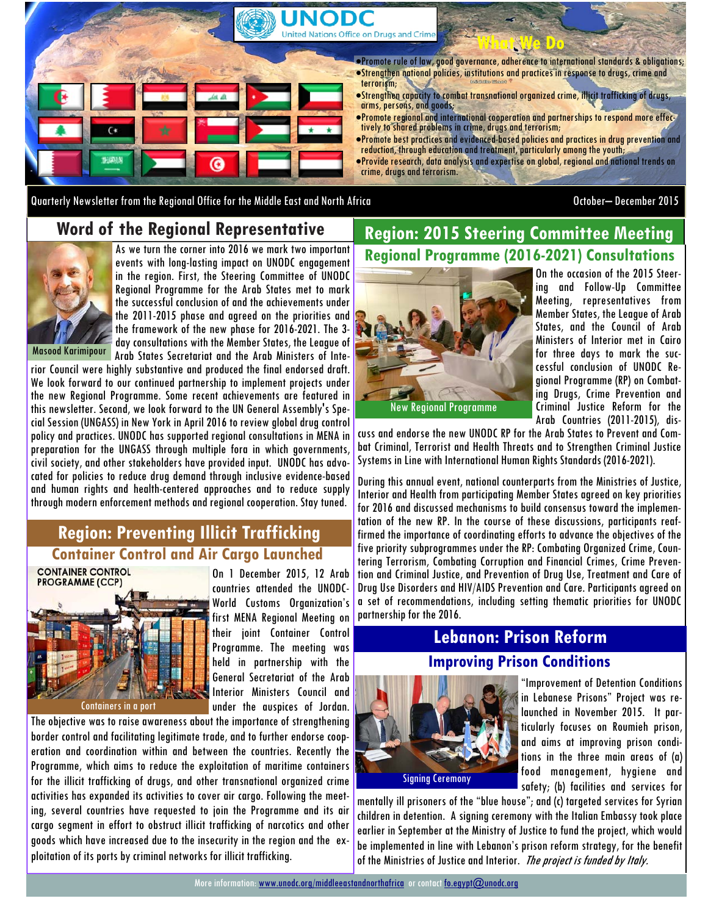

Quarterly Newsletter from the Regional Office for the Middle East and North Africa October– December 2015

#### **Word of the Regional Representative**

As we turn the corner into 2016 we mark two important events with long-lasting impact on UNODC engagement in the region. First, the Steering Committee of UNODC Regional Programme for the Arab States met to mark the successful conclusion of and the achievements under the 2011-2015 phase and agreed on the priorities and the framework of the new phase for 2016-2021. The 3 day consultations with the Member States, the League of Arab States Secretariat and the Arab Ministers of Inte-

Masood Karimipour

rior Council were highly substantive and produced the final endorsed draft. We look forward to our continued partnership to implement projects under the new Regional Programme. Some recent achievements are featured in this newsletter. Second, we look forward to the UN General Assembly's Special Session (UNGASS) in New York in April 2016 to review global drug control policy and practices. UNODC has supported regional consultations in MENA in preparation for the UNGASS through multiple fora in which governments, civil society, and other stakeholders have provided input. UNODC has advocated for policies to reduce drug demand through inclusive evidence-based and human rights and health-centered approaches and to reduce supply through modern enforcement methods and regional cooperation. Stay tuned.

### **Region: Preventing Illicit Trafficking Container Control and Air Cargo Launched**



On 1 December 2015, 12 Arab countries attended the UNODC-World Customs Organization's first MENA Regional Meeting on their joint Container Control Programme. The meeting was held in partnership with the General Secretariat of the Arab Interior Ministers Council and under the auspices of Jordan.

The objective was to raise awareness about the importance of strengthening border control and facilitating legitimate trade, and to further endorse cooperation and coordination within and between the countries. Recently the Programme, which aims to reduce the exploitation of maritime containers for the illicit trafficking of drugs, and other transnational organized crime activities has expanded its activities to cover air cargo. Following the meeting, several countries have requested to join the Programme and its air cargo segment in effort to obstruct illicit trafficking of narcotics and other goods which have increased due to the insecurity in the region and the exploitation of its ports by criminal networks for illicit trafficking.

# **Region: 2015 Steering Committee Meeting Regional Programme (2016-2021) Consultations**



On the occasion of the 2015 Steering and Follow-Up Committee Meeting, representatives from Member States, the League of Arab States, and the Council of Arab Ministers of Interior met in Cairo for three days to mark the successful conclusion of UNODC Regional Programme (RP) on Combating Drugs, Crime Prevention and Criminal Justice Reform for the Arab Countries (2011-2015), dis-

cuss and endorse the new UNODC RP for the Arab States to Prevent and Combat Criminal, Terrorist and Health Threats and to Strengthen Criminal Justice Systems in Line with International Human Rights Standards (2016-2021).

During this annual event, national counterparts from the Ministries of Justice, Interior and Health from participating Member States agreed on key priorities for 2016 and discussed mechanisms to build consensus toward the implementation of the new RP. In the course of these discussions, participants reaffirmed the importance of coordinating efforts to advance the objectives of the five priority subprogrammes under the RP: Combating Organized Crime, Countering Terrorism, Combating Corruption and Financial Crimes, Crime Prevention and Criminal Justice, and Prevention of Drug Use, Treatment and Care of Drug Use Disorders and HIV/AIDS Prevention and Care. Participants agreed on a set of recommendations, including setting thematic priorities for UNODC partnership for the 2016.

## **Lebanon: Prison Reform Improving Prison Conditions**



"Improvement of Detention Conditions in Lebanese Prisons" Project was relaunched in November 2015. It particularly focuses on Roumieh prison, and aims at improving prison conditions in the three main areas of (a) food management, hygiene and safety; (b) facilities and services for

mentally ill prisoners of the "blue house"; and (c) targeted services for Syrian children in detention. A signing ceremony with the Italian Embassy took place earlier in September at the Ministry of Justice to fund the project, which would be implemented in line with Lebanon's prison reform strategy, for the benefit of the Ministries of Justice and Interior. The project is funded by Italy.